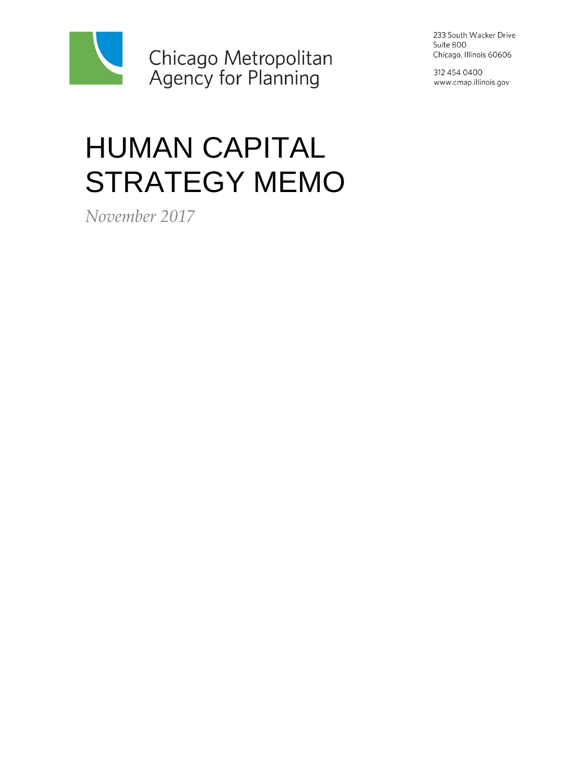

HUMAN CAPITAL STRATEGY MEMO

*November 2017*

233 South Wacker Drive Suite 800 Chicago, Illinois 60606

312 454 0400 www.cmap.illinois.gov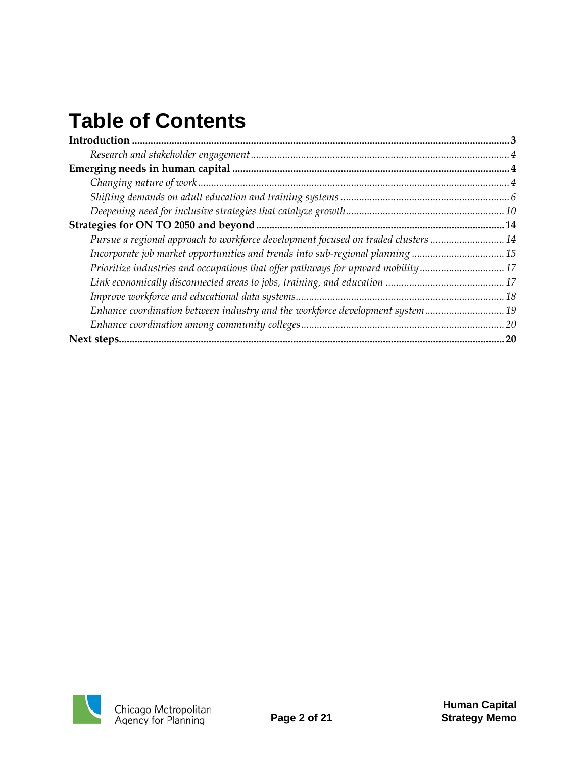# **Table of Contents**

| Pursue a regional approach to workforce development focused on traded clusters  14 |  |
|------------------------------------------------------------------------------------|--|
|                                                                                    |  |
| Prioritize industries and occupations that offer pathways for upward mobility17    |  |
|                                                                                    |  |
|                                                                                    |  |
| Enhance coordination between industry and the workforce development system19       |  |
|                                                                                    |  |
|                                                                                    |  |

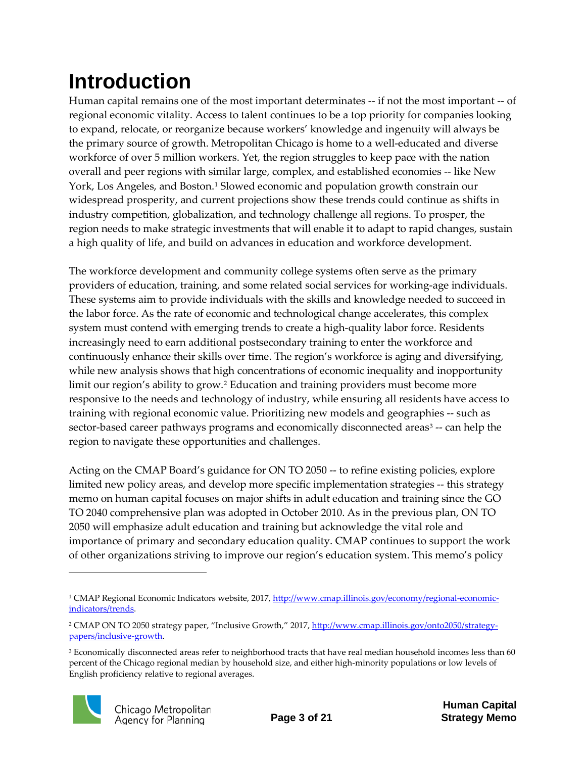# <span id="page-2-0"></span>**Introduction**

Human capital remains one of the most important determinates -- if not the most important -- of regional economic vitality. Access to talent continues to be a top priority for companies looking to expand, relocate, or reorganize because workers' knowledge and ingenuity will always be the primary source of growth. Metropolitan Chicago is home to a well-educated and diverse workforce of over 5 million workers. Yet, the region struggles to keep pace with the nation overall and peer regions with similar large, complex, and established economies -- like New York, Los Angeles, and Boston[.1](#page-2-1) Slowed economic and population growth constrain our widespread prosperity, and current projections show these trends could continue as shifts in industry competition, globalization, and technology challenge all regions. To prosper, the region needs to make strategic investments that will enable it to adapt to rapid changes, sustain a high quality of life, and build on advances in education and workforce development.

The workforce development and community college systems often serve as the primary providers of education, training, and some related social services for working-age individuals. These systems aim to provide individuals with the skills and knowledge needed to succeed in the labor force. As the rate of economic and technological change accelerates, this complex system must contend with emerging trends to create a high-quality labor force. Residents increasingly need to earn additional postsecondary training to enter the workforce and continuously enhance their skills over time. The region's workforce is aging and diversifying, while new analysis shows that high concentrations of economic inequality and inopportunity limit our region's ability to grow.[2](#page-2-2) Education and training providers must become more responsive to the needs and technology of industry, while ensuring all residents have access to training with regional economic value. Prioritizing new models and geographies -- such as sector-based career pathways programs and economically disconnected areas<sup>[3](#page-2-3)</sup> -- can help the region to navigate these opportunities and challenges.

Acting on the CMAP Board's guidance for ON TO 2050 -- to refine existing policies, explore limited new policy areas, and develop more specific implementation strategies -- this strategy memo on human capital focuses on major shifts in adult education and training since the GO TO 2040 comprehensive plan was adopted in October 2010. As in the previous plan, ON TO 2050 will emphasize adult education and training but acknowledge the vital role and importance of primary and secondary education quality. CMAP continues to support the work of other organizations striving to improve our region's education system. This memo's policy

<span id="page-2-3"></span><sup>&</sup>lt;sup>3</sup> Economically disconnected areas refer to neighborhood tracts that have real median household incomes less than 60 percent of the Chicago regional median by household size, and either high-minority populations or low levels of English proficiency relative to regional averages.



<span id="page-2-1"></span><sup>&</sup>lt;sup>1</sup> CMAP Regional Economic Indicators website, 2017[, http://www.cmap.illinois.gov/economy/regional-economic](http://www.cmap.illinois.gov/economy/regional-economic-indicators/trends)[indicators/trends.](http://www.cmap.illinois.gov/economy/regional-economic-indicators/trends)

<span id="page-2-2"></span><sup>&</sup>lt;sup>2</sup> CMAP ON TO 2050 strategy paper, "Inclusive Growth," 2017, [http://www.cmap.illinois.gov/onto2050/strategy](http://www.cmap.illinois.gov/onto2050/strategy-papers/inclusive-growth)[papers/inclusive-growth.](http://www.cmap.illinois.gov/onto2050/strategy-papers/inclusive-growth)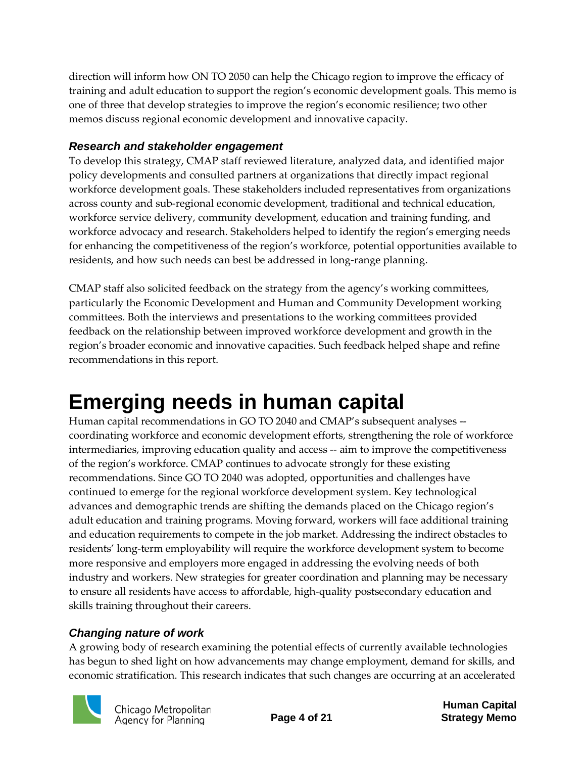direction will inform how ON TO 2050 can help the Chicago region to improve the efficacy of training and adult education to support the region's economic development goals. This memo is one of three that develop strategies to improve the region's economic resilience; two other memos discuss regional economic development and innovative capacity.

#### <span id="page-3-0"></span>*Research and stakeholder engagement*

To develop this strategy, CMAP staff reviewed literature, analyzed data, and identified major policy developments and consulted partners at organizations that directly impact regional workforce development goals. These stakeholders included representatives from organizations across county and sub-regional economic development, traditional and technical education, workforce service delivery, community development, education and training funding, and workforce advocacy and research. Stakeholders helped to identify the region's emerging needs for enhancing the competitiveness of the region's workforce, potential opportunities available to residents, and how such needs can best be addressed in long-range planning.

CMAP staff also solicited feedback on the strategy from the agency's working committees, particularly the Economic Development and Human and Community Development working committees. Both the interviews and presentations to the working committees provided feedback on the relationship between improved workforce development and growth in the region's broader economic and innovative capacities. Such feedback helped shape and refine recommendations in this report.

## <span id="page-3-1"></span>**Emerging needs in human capital**

Human capital recommendations in GO TO 2040 and CMAP's subsequent analyses - coordinating workforce and economic development efforts, strengthening the role of workforce intermediaries, improving education quality and access -- aim to improve the competitiveness of the region's workforce. CMAP continues to advocate strongly for these existing recommendations. Since GO TO 2040 was adopted, opportunities and challenges have continued to emerge for the regional workforce development system. Key technological advances and demographic trends are shifting the demands placed on the Chicago region's adult education and training programs. Moving forward, workers will face additional training and education requirements to compete in the job market. Addressing the indirect obstacles to residents' long-term employability will require the workforce development system to become more responsive and employers more engaged in addressing the evolving needs of both industry and workers. New strategies for greater coordination and planning may be necessary to ensure all residents have access to affordable, high-quality postsecondary education and skills training throughout their careers.

### <span id="page-3-2"></span>*Changing nature of work*

A growing body of research examining the potential effects of currently available technologies has begun to shed light on how advancements may change employment, demand for skills, and economic stratification. This research indicates that such changes are occurring at an accelerated

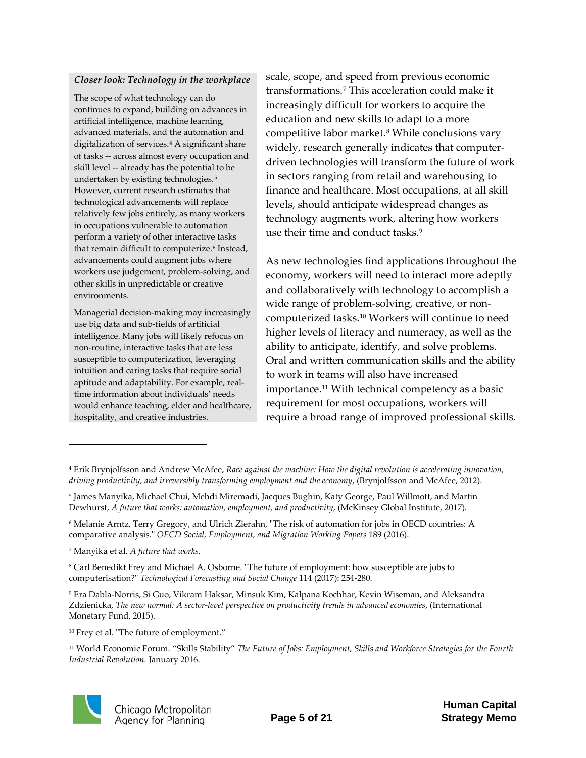#### *Closer look: Technology in the workplace*

The scope of what technology can do continues to expand, building on advances in artificial intelligence, machine learning, advanced materials, and the automation and digitalization of services.<sup>[4](#page-4-5)</sup> A significant share of tasks -- across almost every occupation and skill level -- already has the potential to be undertaken by existing technologies.[5](#page-4-6) However, current research estimates that technological advancements will replace relatively few jobs entirely, as many workers in occupations vulnerable to automation perform a variety of other interactive tasks that remain difficult to computerize.<sup>[6](#page-4-7)</sup> Instead, advancements could augment jobs where workers use judgement, problem-solving, and other skills in unpredictable or creative environments.

Managerial decision-making may increasingly use big data and sub-fields of artificial intelligence. Many jobs will likely refocus on non-routine, interactive tasks that are less susceptible to computerization, leveraging intuition and caring tasks that require social aptitude and adaptability. For example, realtime information about individuals' needs would enhance teaching, elder and healthcare, hospitality, and creative industries.

scale, scope, and speed from previous economic transformations.[7](#page-4-0) This acceleration could make it increasingly difficult for workers to acquire the education and new skills to adapt to a more competitive labor market.<sup>[8](#page-4-1)</sup> While conclusions vary widely, research generally indicates that computerdriven technologies will transform the future of work in sectors ranging from retail and warehousing to finance and healthcare. Most occupations, at all skill levels, should anticipate widespread changes as technology augments work, altering how workers use their time and conduct tasks.<sup>[9](#page-4-2)</sup>

As new technologies find applications throughout the economy, workers will need to interact more adeptly and collaboratively with technology to accomplish a wide range of problem-solving, creative, or noncomputerized tasks.[10](#page-4-3) Workers will continue to need higher levels of literacy and numeracy, as well as the ability to anticipate, identify, and solve problems. Oral and written communication skills and the ability to work in teams will also have increased importance.<sup>[11](#page-4-4)</sup> With technical competency as a basic requirement for most occupations, workers will require a broad range of improved professional skills.

<span id="page-4-4"></span><sup>11</sup> World Economic Forum. "Skills Stability" *The Future of Jobs: Employment, Skills and Workforce Strategies for the Fourth Industrial Revolution.* January 2016.



<span id="page-4-5"></span><sup>4</sup> Erik Brynjolfsson and Andrew McAfee, *Race against the machine: How the digital revolution is accelerating innovation, driving productivity, and irreversibly transforming employment and the economy*, (Brynjolfsson and McAfee, 2012).

<span id="page-4-6"></span><sup>5</sup> James Manyika, Michael Chui, Mehdi Miremadi, Jacques Bughin, Katy George, Paul Willmott, and Martin Dewhurst, *A future that works: automation, employment, and productivity*, (McKinsey Global Institute, 2017).

<span id="page-4-7"></span><sup>6</sup> Melanie Arntz, Terry Gregory, and Ulrich Zierahn, "The risk of automation for jobs in OECD countries: A comparative analysis." *OECD Social, Employment, and Migration Working Papers* 189 (2016).

<span id="page-4-0"></span><sup>7</sup> Manyika et al. *A future that works*.

<span id="page-4-1"></span><sup>8</sup> Carl Benedikt Frey and Michael A. Osborne. "The future of employment: how susceptible are jobs to computerisation?" *Technological Forecasting and Social Change* 114 (2017): 254-280.

<span id="page-4-2"></span><sup>9</sup> Era Dabla-Norris, Si Guo, Vikram Haksar, Minsuk Kim, Kalpana Kochhar, Kevin Wiseman, and Aleksandra Zdzienicka, *The new normal: A sector-level perspective on productivity trends in advanced economies*, (International Monetary Fund, 2015).

<span id="page-4-3"></span><sup>10</sup> Frey et al. "The future of employment."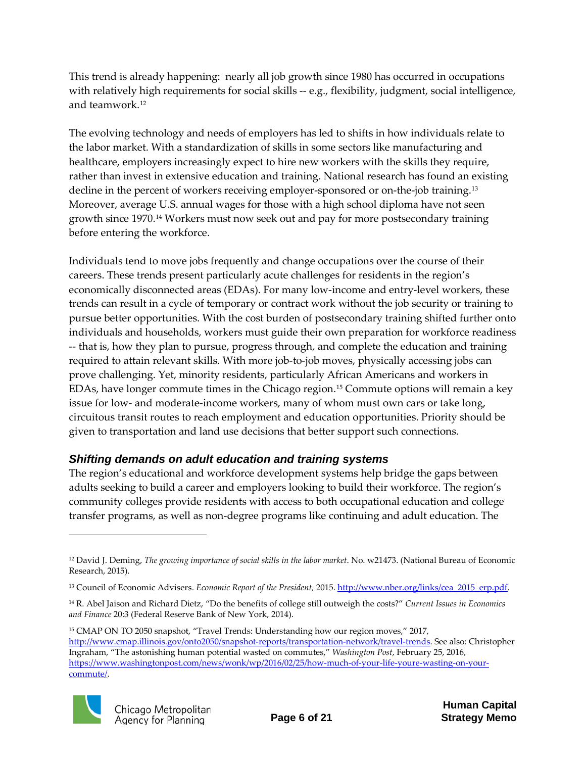This trend is already happening: nearly all job growth since 1980 has occurred in occupations with relatively high requirements for social skills -- e.g., flexibility, judgment, social intelligence, and teamwork.[12](#page-5-1)

The evolving technology and needs of employers has led to shifts in how individuals relate to the labor market. With a standardization of skills in some sectors like manufacturing and healthcare, employers increasingly expect to hire new workers with the skills they require, rather than invest in extensive education and training. National research has found an existing decline in the percent of workers receiving employer-sponsored or on-the-job training.<sup>[13](#page-5-2)</sup> Moreover, average U.S. annual wages for those with a high school diploma have not seen growth since 1970.[14](#page-5-3) Workers must now seek out and pay for more postsecondary training before entering the workforce.

Individuals tend to move jobs frequently and change occupations over the course of their careers. These trends present particularly acute challenges for residents in the region's economically disconnected areas (EDAs). For many low-income and entry-level workers, these trends can result in a cycle of temporary or contract work without the job security or training to pursue better opportunities. With the cost burden of postsecondary training shifted further onto individuals and households, workers must guide their own preparation for workforce readiness -- that is, how they plan to pursue, progress through, and complete the education and training required to attain relevant skills. With more job-to-job moves, physically accessing jobs can prove challenging. Yet, minority residents, particularly African Americans and workers in EDAs, have longer commute times in the Chicago region.[15](#page-5-4) Commute options will remain a key issue for low- and moderate-income workers, many of whom must own cars or take long, circuitous transit routes to reach employment and education opportunities. Priority should be given to transportation and land use decisions that better support such connections.

#### <span id="page-5-0"></span>*Shifting demands on adult education and training systems*

The region's educational and workforce development systems help bridge the gaps between adults seeking to build a career and employers looking to build their workforce. The region's community colleges provide residents with access to both occupational education and college transfer programs, as well as non-degree programs like continuing and adult education. The

<span id="page-5-4"></span><sup>&</sup>lt;sup>15</sup> CMAP ON TO 2050 snapshot, "Travel Trends: Understanding how our region moves," 2017, [http://www.cmap.illinois.gov/onto2050/snapshot-reports/transportation-network/travel-trends.](http://www.cmap.illinois.gov/onto2050/snapshot-reports/transportation-network/travel-trends) See also: Christopher Ingraham, "The astonishing human potential wasted on commutes," *Washington Post*, February 25, 2016, [https://www.washingtonpost.com/news/wonk/wp/2016/02/25/how-much-of-your-life-youre-wasting-on-your](https://www.washingtonpost.com/news/wonk/wp/2016/02/25/how-much-of-your-life-youre-wasting-on-your-commute/)[commute/.](https://www.washingtonpost.com/news/wonk/wp/2016/02/25/how-much-of-your-life-youre-wasting-on-your-commute/)



<span id="page-5-1"></span><sup>12</sup> David J. Deming, *The growing importance of social skills in the labor market*. No. w21473. (National Bureau of Economic Research, 2015).

<span id="page-5-2"></span><sup>&</sup>lt;sup>13</sup> Council of Economic Advisers. *Economic Report of the President*, 2015[. http://www.nber.org/links/cea\\_2015\\_erp.pdf.](http://www.nber.org/links/cea_2015_erp.pdf)

<span id="page-5-3"></span><sup>14</sup> R. Abel Jaison and Richard Dietz, "Do the benefits of college still outweigh the costs?" *Current Issues in Economics and Finance* 20:3 (Federal Reserve Bank of New York, 2014).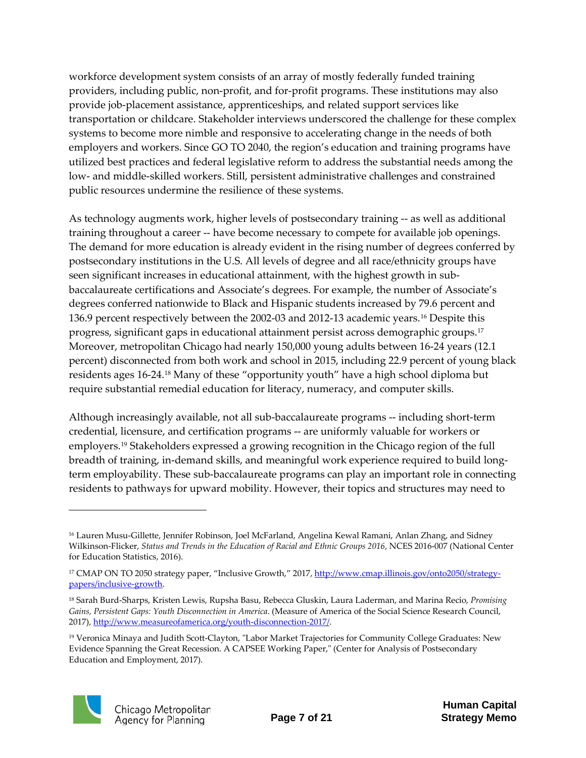workforce development system consists of an array of mostly federally funded training providers, including public, non-profit, and for-profit programs. These institutions may also provide job-placement assistance, apprenticeships, and related support services like transportation or childcare. Stakeholder interviews underscored the challenge for these complex systems to become more nimble and responsive to accelerating change in the needs of both employers and workers. Since GO TO 2040, the region's education and training programs have utilized best practices and federal legislative reform to address the substantial needs among the low- and middle-skilled workers. Still, persistent administrative challenges and constrained public resources undermine the resilience of these systems.

As technology augments work, higher levels of postsecondary training -- as well as additional training throughout a career -- have become necessary to compete for available job openings. The demand for more education is already evident in the rising number of degrees conferred by postsecondary institutions in the U.S. All levels of degree and all race/ethnicity groups have seen significant increases in educational attainment, with the highest growth in subbaccalaureate certifications and Associate's degrees. For example, the number of Associate's degrees conferred nationwide to Black and Hispanic students increased by 79.6 percent and 136.9 percent respectively between the 2002-03 and 2012-13 academic years.[16](#page-6-0) Despite this progress, significant gaps in educational attainment persist across demographic groups.[17](#page-6-1) Moreover, metropolitan Chicago had nearly 150,000 young adults between 16-24 years (12.1 percent) disconnected from both work and school in 2015, including 22.9 percent of young black residents ages 16-24.[18](#page-6-2) Many of these "opportunity youth" have a high school diploma but require substantial remedial education for literacy, numeracy, and computer skills.

Although increasingly available, not all sub-baccalaureate programs -- including short-term credential, licensure, and certification programs -- are uniformly valuable for workers or employers[.19](#page-6-3) Stakeholders expressed a growing recognition in the Chicago region of the full breadth of training, in-demand skills, and meaningful work experience required to build longterm employability. These sub-baccalaureate programs can play an important role in connecting residents to pathways for upward mobility. However, their topics and structures may need to

<span id="page-6-3"></span><sup>19</sup> Veronica Minaya and Judith Scott-Clayton, "Labor Market Trajectories for Community College Graduates: New Evidence Spanning the Great Recession. A CAPSEE Working Paper," (Center for Analysis of Postsecondary Education and Employment, 2017).



<span id="page-6-0"></span><sup>16</sup> Lauren Musu-Gillette, Jennifer Robinson, Joel McFarland, Angelina Kewal Ramani, Anlan Zhang, and Sidney Wilkinson-Flicker, *Status and Trends in the Education of Racial and Ethnic Groups 2016*, NCES 2016-007 (National Center for Education Statistics, 2016).

<span id="page-6-1"></span><sup>&</sup>lt;sup>17</sup> CMAP ON TO 2050 strategy paper, "Inclusive Growth," 2017, [http://www.cmap.illinois.gov/onto2050/strategy](http://www.cmap.illinois.gov/onto2050/strategy-papers/inclusive-growth)[papers/inclusive-growth.](http://www.cmap.illinois.gov/onto2050/strategy-papers/inclusive-growth)

<span id="page-6-2"></span><sup>18</sup> Sarah Burd-Sharps, Kristen Lewis, Rupsha Basu, Rebecca Gluskin, Laura Laderman, and Marina Recio, *Promising Gains, Persistent Gaps: Youth Disconnection in America*. (Measure of America of the Social Science Research Council, 2017)[, http://www.measureofamerica.org/youth-disconnection-2017/.](http://www.measureofamerica.org/youth-disconnection-2017/)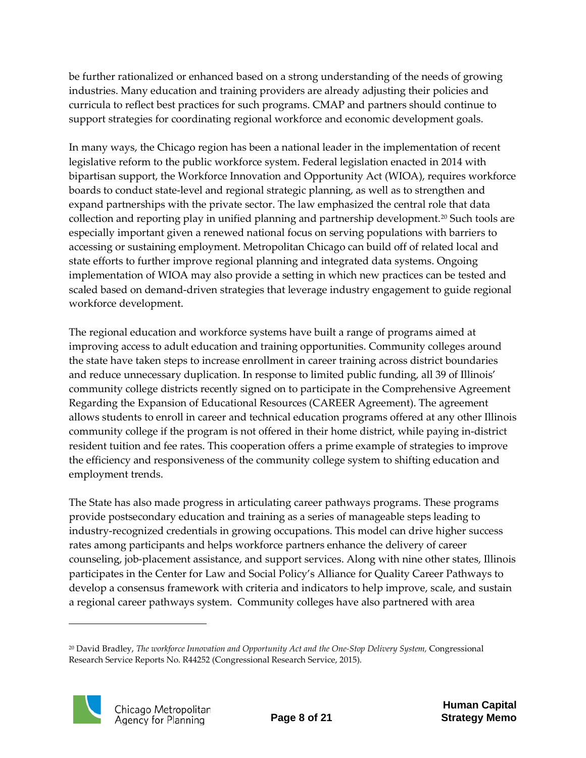be further rationalized or enhanced based on a strong understanding of the needs of growing industries. Many education and training providers are already adjusting their policies and curricula to reflect best practices for such programs. CMAP and partners should continue to support strategies for coordinating regional workforce and economic development goals.

In many ways, the Chicago region has been a national leader in the implementation of recent legislative reform to the public workforce system. Federal legislation enacted in 2014 with bipartisan support, the Workforce Innovation and Opportunity Act (WIOA), requires workforce boards to conduct state-level and regional strategic planning, as well as to strengthen and expand partnerships with the private sector. The law emphasized the central role that data collection and reporting play in unified planning and partnership development.[20](#page-7-0) Such tools are especially important given a renewed national focus on serving populations with barriers to accessing or sustaining employment. Metropolitan Chicago can build off of related local and state efforts to further improve regional planning and integrated data systems. Ongoing implementation of WIOA may also provide a setting in which new practices can be tested and scaled based on demand-driven strategies that leverage industry engagement to guide regional workforce development.

The regional education and workforce systems have built a range of programs aimed at improving access to adult education and training opportunities. Community colleges around the state have taken steps to increase enrollment in career training across district boundaries and reduce unnecessary duplication. In response to limited public funding, all 39 of Illinois' community college districts recently signed on to participate in the Comprehensive Agreement Regarding the Expansion of Educational Resources (CAREER Agreement). The agreement allows students to enroll in career and technical education programs offered at any other Illinois community college if the program is not offered in their home district, while paying in-district resident tuition and fee rates. This cooperation offers a prime example of strategies to improve the efficiency and responsiveness of the community college system to shifting education and employment trends.

The State has also made progress in articulating career pathways programs. These programs provide postsecondary education and training as a series of manageable steps leading to industry-recognized credentials in growing occupations. This model can drive higher success rates among participants and helps workforce partners enhance the delivery of career counseling, job-placement assistance, and support services. Along with nine other states, Illinois participates in the Center for Law and Social Policy's Alliance for Quality Career Pathways to develop a consensus framework with criteria and indicators to help improve, scale, and sustain a regional career pathways system. Community colleges have also partnered with area

<span id="page-7-0"></span><sup>&</sup>lt;sup>20</sup> David Bradley, *The workforce Innovation and Opportunity Act and the One-Stop Delivery System*, Congressional Research Service Reports No. R44252 (Congressional Research Service, 2015).

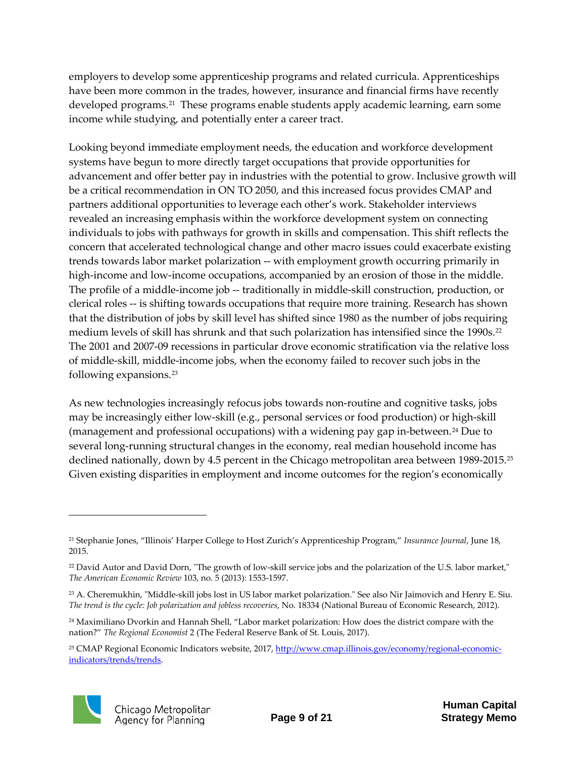employers to develop some apprenticeship programs and related curricula. Apprenticeships have been more common in the trades, however, insurance and financial firms have recently developed programs.<sup>[21](#page-8-0)</sup> These programs enable students apply academic learning, earn some income while studying, and potentially enter a career tract.

Looking beyond immediate employment needs, the education and workforce development systems have begun to more directly target occupations that provide opportunities for advancement and offer better pay in industries with the potential to grow. Inclusive growth will be a critical recommendation in ON TO 2050, and this increased focus provides CMAP and partners additional opportunities to leverage each other's work. Stakeholder interviews revealed an increasing emphasis within the workforce development system on connecting individuals to jobs with pathways for growth in skills and compensation. This shift reflects the concern that accelerated technological change and other macro issues could exacerbate existing trends towards labor market polarization -- with employment growth occurring primarily in high-income and low-income occupations, accompanied by an erosion of those in the middle. The profile of a middle-income job -- traditionally in middle-skill construction, production, or clerical roles -- is shifting towards occupations that require more training. Research has shown that the distribution of jobs by skill level has shifted since 1980 as the number of jobs requiring medium levels of skill has shrunk and that such polarization has intensified since the 1990s.<sup>[22](#page-8-1)</sup> The 2001 and 2007-09 recessions in particular drove economic stratification via the relative loss of middle-skill, middle-income jobs, when the economy failed to recover such jobs in the following expansions[.23](#page-8-2)

As new technologies increasingly refocus jobs towards non-routine and cognitive tasks, jobs may be increasingly either low-skill (e.g., personal services or food production) or high-skill (management and professional occupations) with a widening pay gap in-between.<sup>[24](#page-8-3)</sup> Due to several long-running structural changes in the economy, real median household income has declined nationally, down by 4.5 percent in the Chicago metropolitan area between 1989-2015.[25](#page-8-4) Given existing disparities in employment and income outcomes for the region's economically

<span id="page-8-4"></span><sup>25</sup> CMAP Regional Economic Indicators website, 2017, [http://www.cmap.illinois.gov/economy/regional-economic](http://www.cmap.illinois.gov/economy/regional-economic-indicators/trends)[indicators/trends/](http://www.cmap.illinois.gov/economy/regional-economic-indicators/trends)trends.



<span id="page-8-0"></span><sup>21</sup> Stephanie Jones, "Illinois' Harper College to Host Zurich's Apprenticeship Program," *Insurance Journal*, June 18, 2015.

<span id="page-8-1"></span><sup>&</sup>lt;sup>22</sup> David Autor and David Dorn, "The growth of low-skill service jobs and the polarization of the U.S. labor market," *The American Economic Review* 103, no. 5 (2013): 1553-1597.

<span id="page-8-2"></span><sup>&</sup>lt;sup>23</sup> A. Cheremukhin, "Middle-skill jobs lost in US labor market polarization." See also Nir Jaimovich and Henry E. Siu. *The trend is the cycle: Job polarization and jobless recoveries*, No. 18334 (National Bureau of Economic Research, 2012).

<span id="page-8-3"></span><sup>24</sup> Maximiliano Dvorkin and Hannah Shell, "Labor market polarization: How does the district compare with the nation?" *The Regional Economist* 2 (The Federal Reserve Bank of St. Louis, 2017).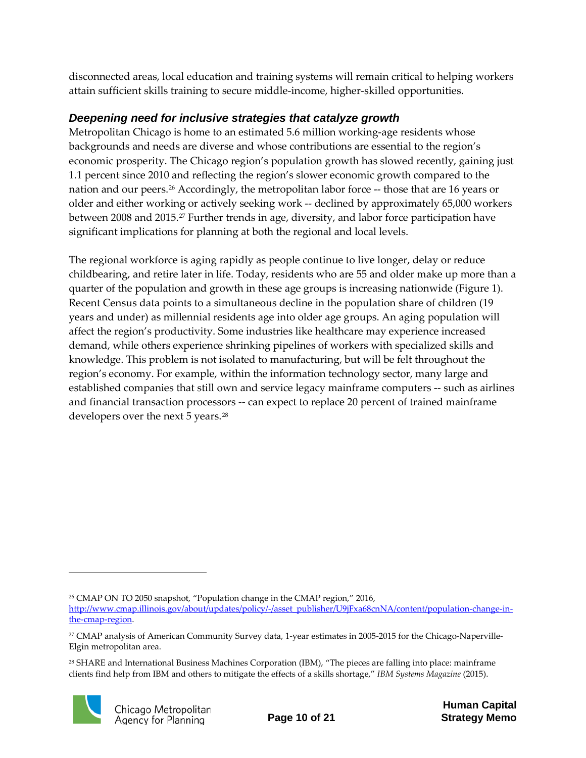disconnected areas, local education and training systems will remain critical to helping workers attain sufficient skills training to secure middle-income, higher-skilled opportunities.

### <span id="page-9-0"></span>*Deepening need for inclusive strategies that catalyze growth*

Metropolitan Chicago is home to an estimated 5.6 million working-age residents whose backgrounds and needs are diverse and whose contributions are essential to the region's economic prosperity. The Chicago region's population growth has slowed recently, gaining just 1.1 percent since 2010 and reflecting the region's slower economic growth compared to the nation and our peers.<sup>26</sup> Accordingly, the metropolitan labor force -- those that are 16 years or older and either working or actively seeking work -- declined by approximately 65,000 workers between 2008 and 2015.<sup>[27](#page-9-2)</sup> Further trends in age, diversity, and labor force participation have significant implications for planning at both the regional and local levels.

The regional workforce is aging rapidly as people continue to live longer, delay or reduce childbearing, and retire later in life. Today, residents who are 55 and older make up more than a quarter of the population and growth in these age groups is increasing nationwide (Figure 1). Recent Census data points to a simultaneous decline in the population share of children (19 years and under) as millennial residents age into older age groups. An aging population will affect the region's productivity. Some industries like healthcare may experience increased demand, while others experience shrinking pipelines of workers with specialized skills and knowledge. This problem is not isolated to manufacturing, but will be felt throughout the region's economy. For example, within the information technology sector, many large and established companies that still own and service legacy mainframe computers -- such as airlines and financial transaction processors -- can expect to replace 20 percent of trained mainframe developers over the next 5 years.<sup>[28](#page-9-3)</sup>

<span id="page-9-3"></span><sup>28</sup> SHARE and International Business Machines Corporation (IBM), "The pieces are falling into place: mainframe clients find help from IBM and others to mitigate the effects of a skills shortage," *IBM Systems Magazine* (2015).



<span id="page-9-1"></span><sup>26</sup> CMAP ON TO 2050 snapshot, "Population change in the CMAP region," 2016, [http://www.cmap.illinois.gov/about/updates/policy/-/asset\\_publisher/U9jFxa68cnNA/content/population-change-in](http://www.cmap.illinois.gov/about/updates/policy/-/asset_publisher/U9jFxa68cnNA/content/population-change-in-the-cmap-region)[the-cmap-region.](http://www.cmap.illinois.gov/about/updates/policy/-/asset_publisher/U9jFxa68cnNA/content/population-change-in-the-cmap-region)

<span id="page-9-2"></span><sup>27</sup> CMAP analysis of American Community Survey data, 1-year estimates in 2005-2015 for the Chicago-Naperville-Elgin metropolitan area.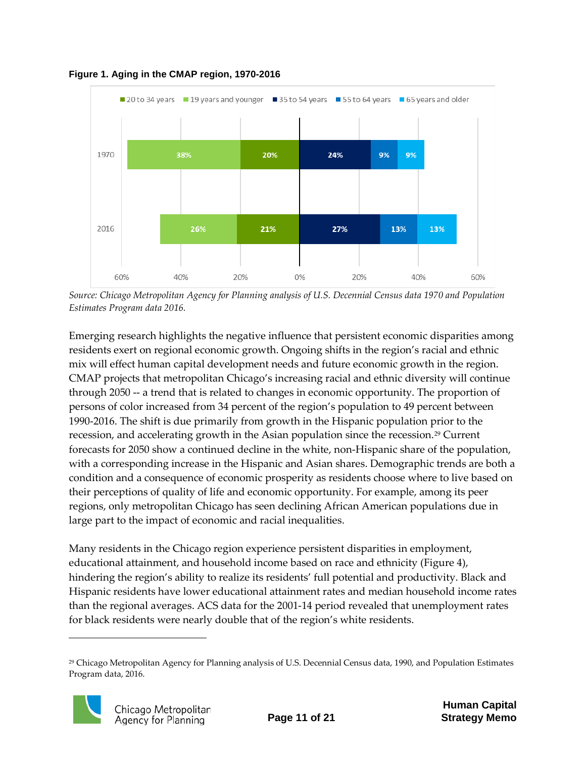

**Figure 1. Aging in the CMAP region, 1970-2016**

*Source: Chicago Metropolitan Agency for Planning analysis of U.S. Decennial Census data 1970 and Population Estimates Program data 2016.* 

Emerging research highlights the negative influence that persistent economic disparities among residents exert on regional economic growth. Ongoing shifts in the region's racial and ethnic mix will effect human capital development needs and future economic growth in the region. CMAP projects that metropolitan Chicago's increasing racial and ethnic diversity will continue through 2050 -- a trend that is related to changes in economic opportunity. The proportion of persons of color increased from 34 percent of the region's population to 49 percent between 1990-2016. The shift is due primarily from growth in the Hispanic population prior to the recession, and accelerating growth in the Asian population since the recession.[29](#page-10-0) Current forecasts for 2050 show a continued decline in the white, non-Hispanic share of the population, with a corresponding increase in the Hispanic and Asian shares. Demographic trends are both a condition and a consequence of economic prosperity as residents choose where to live based on their perceptions of quality of life and economic opportunity. For example, among its peer regions, only metropolitan Chicago has seen declining African American populations due in large part to the impact of economic and racial inequalities.

Many residents in the Chicago region experience persistent disparities in employment, educational attainment, and household income based on race and ethnicity (Figure 4), hindering the region's ability to realize its residents' full potential and productivity. Black and Hispanic residents have lower educational attainment rates and median household income rates than the regional averages. ACS data for the 2001-14 period revealed that unemployment rates for black residents were nearly double that of the region's white residents.

<span id="page-10-0"></span><sup>29</sup> Chicago Metropolitan Agency for Planning analysis of U.S. Decennial Census data, 1990, and Population Estimates Program data, 2016.

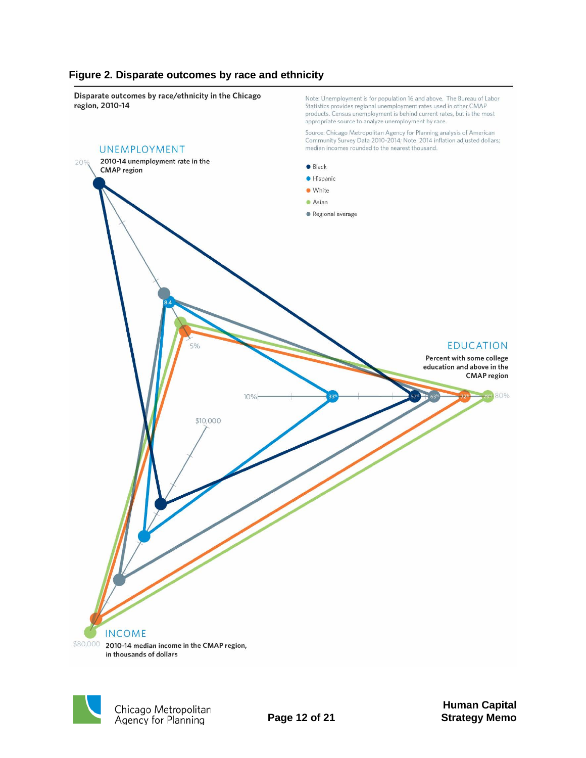#### **Figure 2. Disparate outcomes by race and ethnicity**







Note: Unemployment is for population 16 and above. The Bureau of Labor

Statistics provides regional unemployment rates used in other CMAP

**Human Capital Page 12 of 21 Strategy Memo**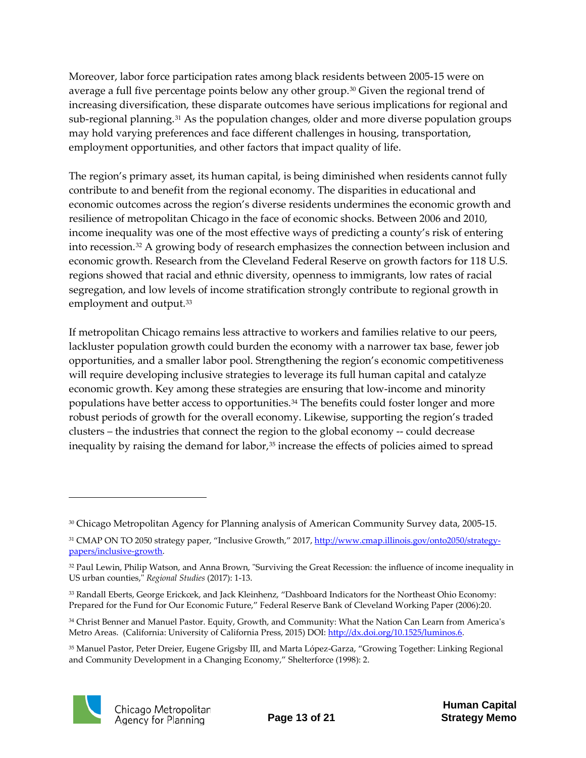Moreover, labor force participation rates among black residents between 2005-15 were on average a full five percentage points below any other group.[30](#page-12-0) Given the regional trend of increasing diversification, these disparate outcomes have serious implications for regional and sub-regional planning.<sup>[31](#page-12-1)</sup> As the population changes, older and more diverse population groups may hold varying preferences and face different challenges in housing, transportation, employment opportunities, and other factors that impact quality of life.

The region's primary asset, its human capital, is being diminished when residents cannot fully contribute to and benefit from the regional economy. The disparities in educational and economic outcomes across the region's diverse residents undermines the economic growth and resilience of metropolitan Chicago in the face of economic shocks. Between 2006 and 2010, income inequality was one of the most effective ways of predicting a county's risk of entering into recession.[32](#page-12-2) A growing body of research emphasizes the connection between inclusion and economic growth. Research from the Cleveland Federal Reserve on growth factors for 118 U.S. regions showed that racial and ethnic diversity, openness to immigrants, low rates of racial segregation, and low levels of income stratification strongly contribute to regional growth in employment and output.<sup>[33](#page-12-3)</sup>

If metropolitan Chicago remains less attractive to workers and families relative to our peers, lackluster population growth could burden the economy with a narrower tax base, fewer job opportunities, and a smaller labor pool. Strengthening the region's economic competitiveness will require developing inclusive strategies to leverage its full human capital and catalyze economic growth. Key among these strategies are ensuring that low-income and minority populations have better access to opportunities.[34](#page-12-4) The benefits could foster longer and more robust periods of growth for the overall economy. Likewise, supporting the region's traded clusters – the industries that connect the region to the global economy -- could decrease inequality by raising the demand for labor,<sup>35</sup> increase the effects of policies aimed to spread

<span id="page-12-5"></span><sup>35</sup> Manuel Pastor, Peter Dreier, Eugene Grigsby III, and Marta López-Garza, "Growing Together: Linking Regional and Community Development in a Changing Economy," Shelterforce (1998): 2.



<span id="page-12-0"></span><sup>30</sup> Chicago Metropolitan Agency for Planning analysis of American Community Survey data, 2005-15.

<span id="page-12-1"></span><sup>&</sup>lt;sup>31</sup> CMAP ON TO 2050 strategy paper, "Inclusive Growth," 2017, [http://www.cmap.illinois.gov/onto2050/strategy](http://www.cmap.illinois.gov/onto2050/strategy-papers/inclusive-growth)[papers/inclusive-growth.](http://www.cmap.illinois.gov/onto2050/strategy-papers/inclusive-growth)

<span id="page-12-2"></span><sup>32</sup> Paul Lewin, Philip Watson, and Anna Brown, "Surviving the Great Recession: the influence of income inequality in US urban counties," *Regional Studies* (2017): 1-13.

<span id="page-12-3"></span><sup>33</sup> Randall Eberts, George Erickcek, and Jack Kleinhenz, "Dashboard Indicators for the Northeast Ohio Economy: Prepared for the Fund for Our Economic Future," Federal Reserve Bank of Cleveland Working Paper (2006):20.

<span id="page-12-4"></span><sup>34</sup> Christ Benner and Manuel Pastor. Equity, Growth, and Community: What the Nation Can Learn from America's Metro Areas. (California: University of California Press, 2015) DOI: [http://dx.doi.org/10.1525/luminos.6.](http://dx.doi.org/10.1525/luminos.6)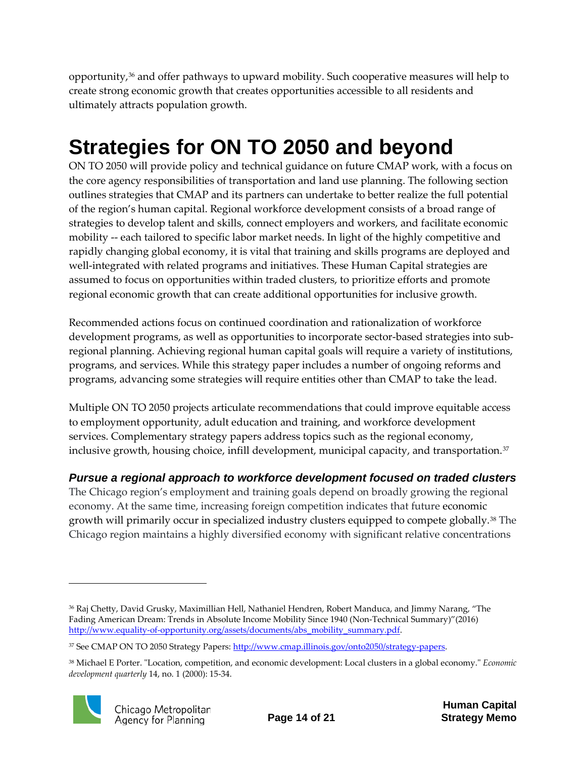opportunity,<sup>36</sup> and offer pathways to upward mobility. Such cooperative measures will help to create strong economic growth that creates opportunities accessible to all residents and ultimately attracts population growth.

# <span id="page-13-0"></span>**Strategies for ON TO 2050 and beyond**

ON TO 2050 will provide policy and technical guidance on future CMAP work, with a focus on the core agency responsibilities of transportation and land use planning. The following section outlines strategies that CMAP and its partners can undertake to better realize the full potential of the region's human capital. Regional workforce development consists of a broad range of strategies to develop talent and skills, connect employers and workers, and facilitate economic mobility -- each tailored to specific labor market needs. In light of the highly competitive and rapidly changing global economy, it is vital that training and skills programs are deployed and well-integrated with related programs and initiatives. These Human Capital strategies are assumed to focus on opportunities within traded clusters, to prioritize efforts and promote regional economic growth that can create additional opportunities for inclusive growth.

Recommended actions focus on continued coordination and rationalization of workforce development programs, as well as opportunities to incorporate sector-based strategies into subregional planning. Achieving regional human capital goals will require a variety of institutions, programs, and services. While this strategy paper includes a number of ongoing reforms and programs, advancing some strategies will require entities other than CMAP to take the lead.

Multiple ON TO 2050 projects articulate recommendations that could improve equitable access to employment opportunity, adult education and training, and workforce development services. Complementary strategy papers address topics such as the regional economy, inclusive growth, housing choice, infill development, municipal capacity, and transportation.<sup>[37](#page-13-3)</sup>

<span id="page-13-1"></span>*Pursue a regional approach to workforce development focused on traded clusters*

The Chicago region's employment and training goals depend on broadly growing the regional economy. At the same time, increasing foreign competition indicates that future economic growth will primarily occur in specialized industry clusters equipped to compete globally.<sup>[38](#page-13-4)</sup> The Chicago region maintains a highly diversified economy with significant relative concentrations

<span id="page-13-4"></span><sup>38</sup> Michael E Porter. "Location, competition, and economic development: Local clusters in a global economy." *Economic development quarterly* 14, no. 1 (2000): 15-34.



<span id="page-13-2"></span><sup>36</sup> Raj Chetty, David Grusky, Maximillian Hell, Nathaniel Hendren, Robert Manduca, and Jimmy Narang, "The Fading American Dream: Trends in Absolute Income Mobility Since 1940 (Non-Technical Summary)"(2016) [http://www.equality-of-opportunity.org/assets/documents/abs\\_mobility\\_summary.pdf.](http://www.equality-of-opportunity.org/assets/documents/abs_mobility_summary.pdf)

<span id="page-13-3"></span><sup>&</sup>lt;sup>37</sup> See CMAP ON TO 2050 Strategy Papers[: http://www.cmap.illinois.gov/onto2050/strategy-papers.](http://www.cmap.illinois.gov/onto2050/strategy-papers)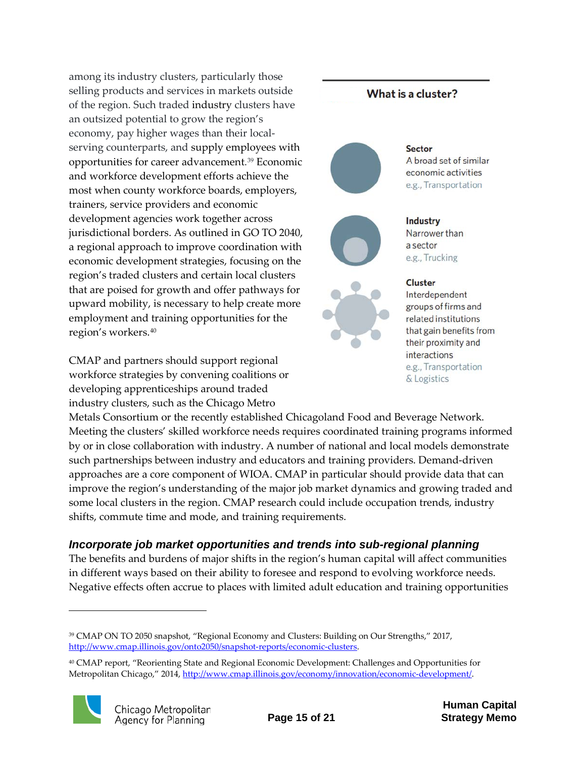among its industry clusters, particularly those selling products and services in markets outside of the region. Such traded industry clusters have an outsized potential to grow the region's economy, pay higher wages than their localserving counterparts, and supply employees with opportunities for career advancement.[39](#page-14-1) Economic and workforce development efforts achieve the most when county workforce boards, employers, trainers, service providers and economic development agencies work together across jurisdictional borders. As outlined in GO TO 2040, a regional approach to improve coordination with economic development strategies, focusing on the region's traded clusters and certain local clusters that are poised for growth and offer pathways for upward mobility, is necessary to help create more employment and training opportunities for the region's workers.[40](#page-14-2)

CMAP and partners should support regional workforce strategies by convening coalitions or developing apprenticeships around traded industry clusters, such as the Chicago Metro

Metals Consortium or the recently established Chicagoland Food and Beverage Network. Meeting the clusters' skilled workforce needs requires coordinated training programs informed by or in close collaboration with industry. A number of national and local models demonstrate such partnerships between industry and educators and training providers. Demand-driven approaches are a core component of WIOA. CMAP in particular should provide data that can improve the region's understanding of the major job market dynamics and growing traded and some local clusters in the region. CMAP research could include occupation trends, industry shifts, commute time and mode, and training requirements.

#### <span id="page-14-0"></span>*Incorporate job market opportunities and trends into sub-regional planning*

The benefits and burdens of major shifts in the region's human capital will affect communities in different ways based on their ability to foresee and respond to evolving workforce needs. Negative effects often accrue to places with limited adult education and training opportunities

<span id="page-14-2"></span><sup>40</sup> CMAP report, "Reorienting State and Regional Economic Development: Challenges and Opportunities for Metropolitan Chicago," 2014, [http://www.cmap.illinois.gov/economy/innovation/economic-development/.](http://www.cmap.illinois.gov/economy/innovation/economic-development/)



l

### **Human Capital**







**Sector** A broad set of similar economic activities e.g., Transportation

Industry Narrower than a sector e.g., Trucking

### **Cluster**

What is a cluster?

Interdependent groups of firms and related institutions that gain benefits from their proximity and interactions e.g., Transportation & Logistics

<span id="page-14-1"></span><sup>39</sup> CMAP ON TO 2050 snapshot, "Regional Economy and Clusters: Building on Our Strengths," 2017, [http://www.cmap.illinois.gov/onto2050/snapshot-reports/economic-clusters.](http://www.cmap.illinois.gov/onto2050/snapshot-reports/economic-clusters)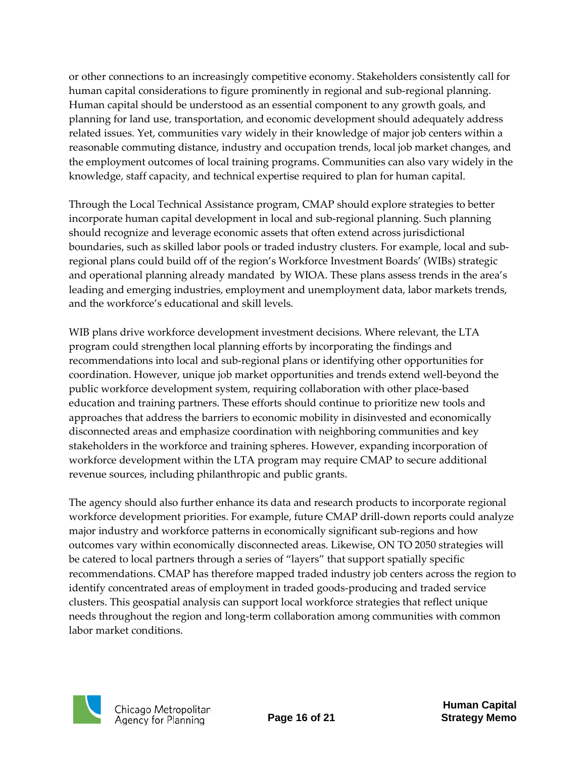or other connections to an increasingly competitive economy. Stakeholders consistently call for human capital considerations to figure prominently in regional and sub-regional planning. Human capital should be understood as an essential component to any growth goals, and planning for land use, transportation, and economic development should adequately address related issues. Yet, communities vary widely in their knowledge of major job centers within a reasonable commuting distance, industry and occupation trends, local job market changes, and the employment outcomes of local training programs. Communities can also vary widely in the knowledge, staff capacity, and technical expertise required to plan for human capital.

Through the Local Technical Assistance program, CMAP should explore strategies to better incorporate human capital development in local and sub-regional planning. Such planning should recognize and leverage economic assets that often extend across jurisdictional boundaries, such as skilled labor pools or traded industry clusters. For example, local and subregional plans could build off of the region's Workforce Investment Boards' (WIBs) strategic and operational planning already mandated by WIOA. These plans assess trends in the area's leading and emerging industries, employment and unemployment data, labor markets trends, and the workforce's educational and skill levels.

WIB plans drive workforce development investment decisions. Where relevant, the LTA program could strengthen local planning efforts by incorporating the findings and recommendations into local and sub-regional plans or identifying other opportunities for coordination. However, unique job market opportunities and trends extend well-beyond the public workforce development system, requiring collaboration with other place-based education and training partners. These efforts should continue to prioritize new tools and approaches that address the barriers to economic mobility in disinvested and economically disconnected areas and emphasize coordination with neighboring communities and key stakeholders in the workforce and training spheres. However, expanding incorporation of workforce development within the LTA program may require CMAP to secure additional revenue sources, including philanthropic and public grants.

The agency should also further enhance its data and research products to incorporate regional workforce development priorities. For example, future CMAP drill-down reports could analyze major industry and workforce patterns in economically significant sub-regions and how outcomes vary within economically disconnected areas. Likewise, ON TO 2050 strategies will be catered to local partners through a series of "layers" that support spatially specific recommendations. CMAP has therefore mapped traded industry job centers across the region to identify concentrated areas of employment in traded goods-producing and traded service clusters. This geospatial analysis can support local workforce strategies that reflect unique needs throughout the region and long-term collaboration among communities with common labor market conditions.

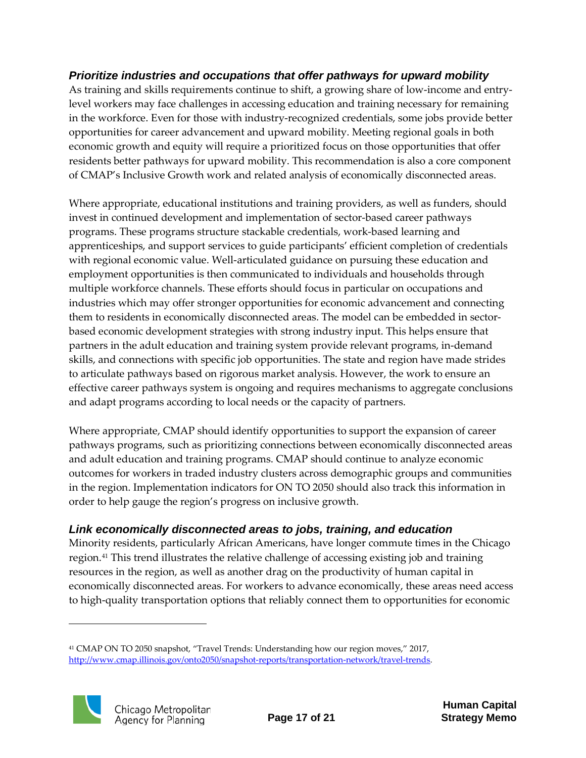#### <span id="page-16-0"></span>*Prioritize industries and occupations that offer pathways for upward mobility*

As training and skills requirements continue to shift, a growing share of low-income and entrylevel workers may face challenges in accessing education and training necessary for remaining in the workforce. Even for those with industry-recognized credentials, some jobs provide better opportunities for career advancement and upward mobility. Meeting regional goals in both economic growth and equity will require a prioritized focus on those opportunities that offer residents better pathways for upward mobility. This recommendation is also a core component of CMAP's Inclusive Growth work and related analysis of economically disconnected areas.

Where appropriate, educational institutions and training providers, as well as funders, should invest in continued development and implementation of sector-based career pathways programs. These programs structure stackable credentials, work-based learning and apprenticeships, and support services to guide participants' efficient completion of credentials with regional economic value. Well-articulated guidance on pursuing these education and employment opportunities is then communicated to individuals and households through multiple workforce channels. These efforts should focus in particular on occupations and industries which may offer stronger opportunities for economic advancement and connecting them to residents in economically disconnected areas. The model can be embedded in sectorbased economic development strategies with strong industry input. This helps ensure that partners in the adult education and training system provide relevant programs, in-demand skills, and connections with specific job opportunities. The state and region have made strides to articulate pathways based on rigorous market analysis. However, the work to ensure an effective career pathways system is ongoing and requires mechanisms to aggregate conclusions and adapt programs according to local needs or the capacity of partners.

Where appropriate, CMAP should identify opportunities to support the expansion of career pathways programs, such as prioritizing connections between economically disconnected areas and adult education and training programs. CMAP should continue to analyze economic outcomes for workers in traded industry clusters across demographic groups and communities in the region. Implementation indicators for ON TO 2050 should also track this information in order to help gauge the region's progress on inclusive growth.

#### <span id="page-16-1"></span>*Link economically disconnected areas to jobs, training, and education*

Minority residents, particularly African Americans, have longer commute times in the Chicago region.[41](#page-16-2) This trend illustrates the relative challenge of accessing existing job and training resources in the region, as well as another drag on the productivity of human capital in economically disconnected areas. For workers to advance economically, these areas need access to high-quality transportation options that reliably connect them to opportunities for economic

<span id="page-16-2"></span><sup>41</sup> CMAP ON TO 2050 snapshot, "Travel Trends: Understanding how our region moves," 2017, [http://www.cmap.illinois.gov/onto2050/snapshot-reports/transportation-network/travel-trends.](http://www.cmap.illinois.gov/onto2050/snapshot-reports/transportation-network/travel-trends)

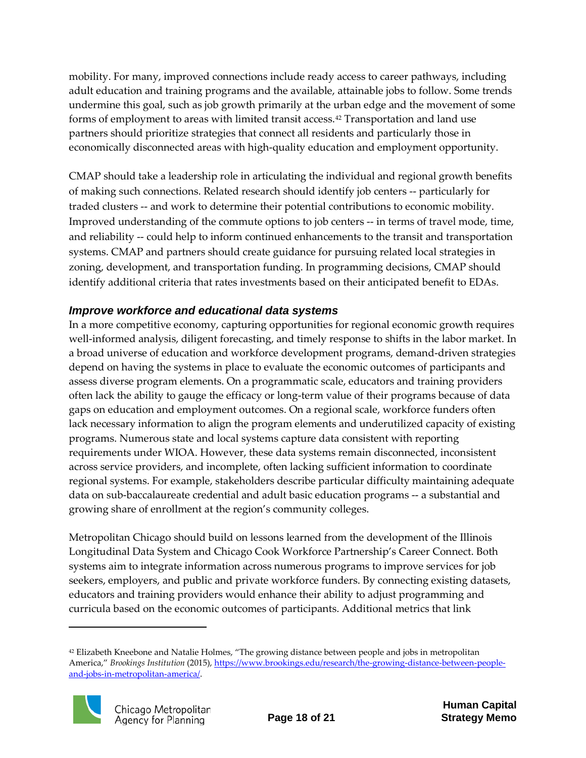mobility. For many, improved connections include ready access to career pathways, including adult education and training programs and the available, attainable jobs to follow. Some trends undermine this goal, such as job growth primarily at the urban edge and the movement of some forms of employment to areas with limited transit access.[42](#page-17-1) Transportation and land use partners should prioritize strategies that connect all residents and particularly those in economically disconnected areas with high-quality education and employment opportunity.

CMAP should take a leadership role in articulating the individual and regional growth benefits of making such connections. Related research should identify job centers -- particularly for traded clusters -- and work to determine their potential contributions to economic mobility. Improved understanding of the commute options to job centers -- in terms of travel mode, time, and reliability -- could help to inform continued enhancements to the transit and transportation systems. CMAP and partners should create guidance for pursuing related local strategies in zoning, development, and transportation funding. In programming decisions, CMAP should identify additional criteria that rates investments based on their anticipated benefit to EDAs.

#### <span id="page-17-0"></span>*Improve workforce and educational data systems*

In a more competitive economy, capturing opportunities for regional economic growth requires well-informed analysis, diligent forecasting, and timely response to shifts in the labor market. In a broad universe of education and workforce development programs, demand-driven strategies depend on having the systems in place to evaluate the economic outcomes of participants and assess diverse program elements. On a programmatic scale, educators and training providers often lack the ability to gauge the efficacy or long-term value of their programs because of data gaps on education and employment outcomes. On a regional scale, workforce funders often lack necessary information to align the program elements and underutilized capacity of existing programs. Numerous state and local systems capture data consistent with reporting requirements under WIOA. However, these data systems remain disconnected, inconsistent across service providers, and incomplete, often lacking sufficient information to coordinate regional systems. For example, stakeholders describe particular difficulty maintaining adequate data on sub-baccalaureate credential and adult basic education programs -- a substantial and growing share of enrollment at the region's community colleges.

Metropolitan Chicago should build on lessons learned from the development of the Illinois Longitudinal Data System and Chicago Cook Workforce Partnership's Career Connect. Both systems aim to integrate information across numerous programs to improve services for job seekers, employers, and public and private workforce funders. By connecting existing datasets, educators and training providers would enhance their ability to adjust programming and curricula based on the economic outcomes of participants. Additional metrics that link

<span id="page-17-1"></span><sup>42</sup> Elizabeth Kneebone and Natalie Holmes, "The growing distance between people and jobs in metropolitan America," *Brookings Institution* (2015), [https://www.brookings.edu/research/the-growing-distance-between-people](https://www.brookings.edu/research/the-growing-distance-between-people-and-jobs-in-metropolitan-america/)[and-jobs-in-metropolitan-america/.](https://www.brookings.edu/research/the-growing-distance-between-people-and-jobs-in-metropolitan-america/)

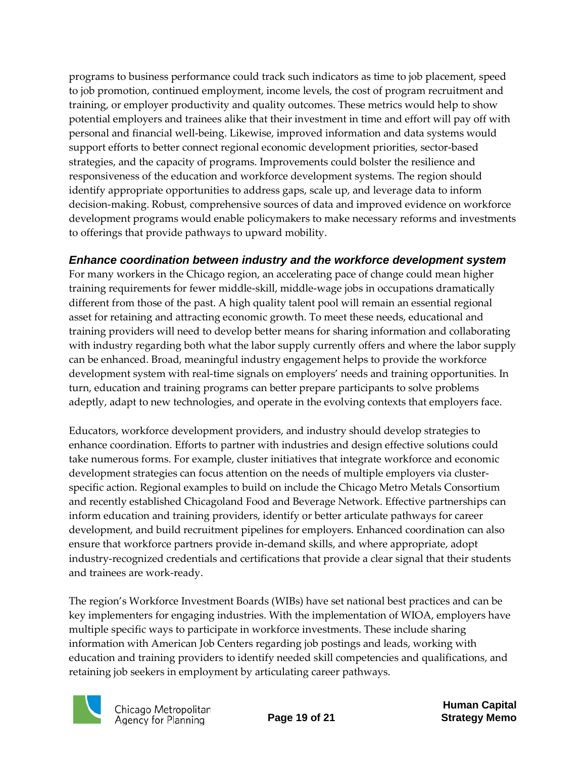programs to business performance could track such indicators as time to job placement, speed to job promotion, continued employment, income levels, the cost of program recruitment and training, or employer productivity and quality outcomes. These metrics would help to show potential employers and trainees alike that their investment in time and effort will pay off with personal and financial well-being. Likewise, improved information and data systems would support efforts to better connect regional economic development priorities, sector-based strategies, and the capacity of programs. Improvements could bolster the resilience and responsiveness of the education and workforce development systems. The region should identify appropriate opportunities to address gaps, scale up, and leverage data to inform decision-making. Robust, comprehensive sources of data and improved evidence on workforce development programs would enable policymakers to make necessary reforms and investments to offerings that provide pathways to upward mobility.

### <span id="page-18-0"></span>*Enhance coordination between industry and the workforce development system*

For many workers in the Chicago region, an accelerating pace of change could mean higher training requirements for fewer middle-skill, middle-wage jobs in occupations dramatically different from those of the past. A high quality talent pool will remain an essential regional asset for retaining and attracting economic growth. To meet these needs, educational and training providers will need to develop better means for sharing information and collaborating with industry regarding both what the labor supply currently offers and where the labor supply can be enhanced. Broad, meaningful industry engagement helps to provide the workforce development system with real-time signals on employers' needs and training opportunities. In turn, education and training programs can better prepare participants to solve problems adeptly, adapt to new technologies, and operate in the evolving contexts that employers face.

Educators, workforce development providers, and industry should develop strategies to enhance coordination. Efforts to partner with industries and design effective solutions could take numerous forms. For example, cluster initiatives that integrate workforce and economic development strategies can focus attention on the needs of multiple employers via clusterspecific action. Regional examples to build on include the Chicago Metro Metals Consortium and recently established Chicagoland Food and Beverage Network. Effective partnerships can inform education and training providers, identify or better articulate pathways for career development, and build recruitment pipelines for employers. Enhanced coordination can also ensure that workforce partners provide in-demand skills, and where appropriate, adopt industry-recognized credentials and certifications that provide a clear signal that their students and trainees are work-ready.

The region's Workforce Investment Boards (WIBs) have set national best practices and can be key implementers for engaging industries. With the implementation of WIOA, employers have multiple specific ways to participate in workforce investments. These include sharing information with American Job Centers regarding job postings and leads, working with education and training providers to identify needed skill competencies and qualifications, and retaining job seekers in employment by articulating career pathways.



Chicago Metropolitan<br>Agency for Planning

**Human Capital Page 19 of 21 Strategy Memo**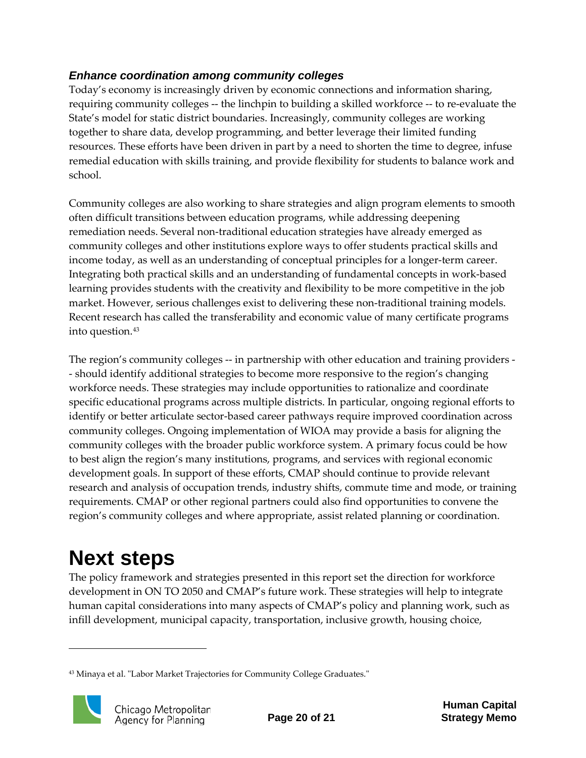### <span id="page-19-0"></span>*Enhance coordination among community colleges*

Today's economy is increasingly driven by economic connections and information sharing, requiring community colleges -- the linchpin to building a skilled workforce -- to re-evaluate the State's model for static district boundaries. Increasingly, community colleges are working together to share data, develop programming, and better leverage their limited funding resources. These efforts have been driven in part by a need to shorten the time to degree, infuse remedial education with skills training, and provide flexibility for students to balance work and school.

Community colleges are also working to share strategies and align program elements to smooth often difficult transitions between education programs, while addressing deepening remediation needs. Several non-traditional education strategies have already emerged as community colleges and other institutions explore ways to offer students practical skills and income today, as well as an understanding of conceptual principles for a longer-term career. Integrating both practical skills and an understanding of fundamental concepts in work-based learning provides students with the creativity and flexibility to be more competitive in the job market. However, serious challenges exist to delivering these non-traditional training models. Recent research has called the transferability and economic value of many certificate programs into question.<sup>[43](#page-19-2)</sup>

The region's community colleges -- in partnership with other education and training providers - - should identify additional strategies to become more responsive to the region's changing workforce needs. These strategies may include opportunities to rationalize and coordinate specific educational programs across multiple districts. In particular, ongoing regional efforts to identify or better articulate sector-based career pathways require improved coordination across community colleges. Ongoing implementation of WIOA may provide a basis for aligning the community colleges with the broader public workforce system. A primary focus could be how to best align the region's many institutions, programs, and services with regional economic development goals. In support of these efforts, CMAP should continue to provide relevant research and analysis of occupation trends, industry shifts, commute time and mode, or training requirements. CMAP or other regional partners could also find opportunities to convene the region's community colleges and where appropriate, assist related planning or coordination.

# <span id="page-19-1"></span>**Next steps**

The policy framework and strategies presented in this report set the direction for workforce development in ON TO 2050 and CMAP's future work. These strategies will help to integrate human capital considerations into many aspects of CMAP's policy and planning work, such as infill development, municipal capacity, transportation, inclusive growth, housing choice,

<span id="page-19-2"></span><sup>43</sup> Minaya et al. "Labor Market Trajectories for Community College Graduates."